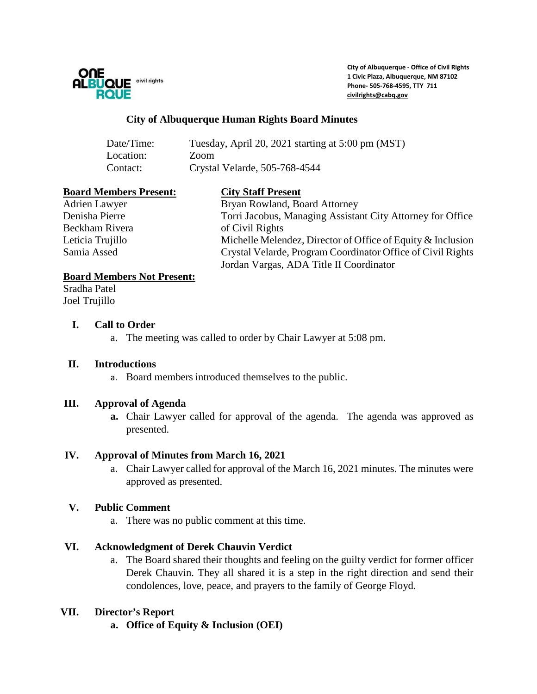

**City of Albuquerque - Office of Civil Rights 1 Civic Plaza, Albuquerque, NM 87102 Phone- 505-768-4595, TTY 711 [civilrights@cabq.gov](mailto:civilrights@cabq.gov)**

#### **City of Albuquerque Human Rights Board Minutes**

| Date/Time: | Tuesday, April 20, 2021 starting at 5:00 pm (MST) |
|------------|---------------------------------------------------|
| Location:  | Zoom                                              |
| Contact:   | Crystal Velarde, 505-768-4544                     |

#### **Board Members Present: City Staff Present**

Beckham Rivera of Civil Rights

Adrien Lawyer Bryan Rowland, Board Attorney Denisha Pierre Torri Jacobus, Managing Assistant City Attorney for Office Leticia Trujillo Michelle Melendez, Director of Office of Equity & Inclusion Samia Assed Crystal Velarde, Program Coordinator Office of Civil Rights Jordan Vargas, ADA Title II Coordinator

#### **Board Members Not Present:**

Sradha Patel Joel Trujillo

#### **I. Call to Order**

a. The meeting was called to order by Chair Lawyer at 5:08 pm.

#### **II. Introductions**

a. Board members introduced themselves to the public.

#### **III. Approval of Agenda**

**a.** Chair Lawyer called for approval of the agenda. The agenda was approved as presented.

# **IV. Approval of Minutes from March 16, 2021**

a. Chair Lawyer called for approval of the March 16, 2021 minutes. The minutes were approved as presented.

# **V. Public Comment**

a. There was no public comment at this time.

# **VI. Acknowledgment of Derek Chauvin Verdict**

a. The Board shared their thoughts and feeling on the guilty verdict for former officer Derek Chauvin. They all shared it is a step in the right direction and send their condolences, love, peace, and prayers to the family of George Floyd.

# **VII. Director's Report**

**a. Office of Equity & Inclusion (OEI)**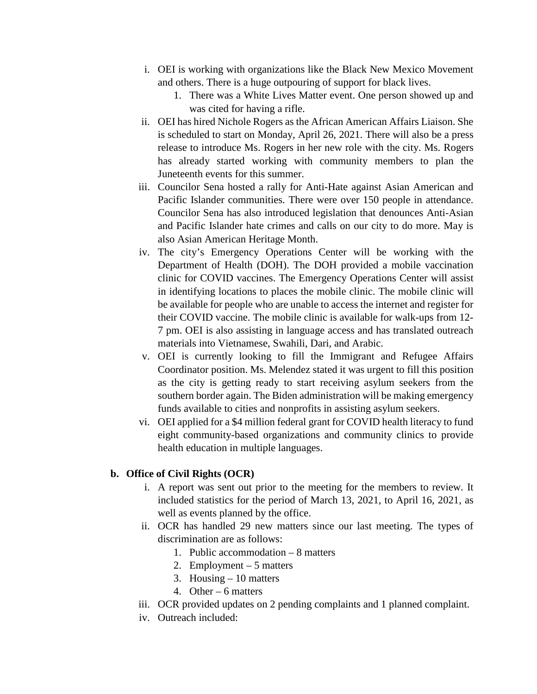- i. OEI is working with organizations like the Black New Mexico Movement and others. There is a huge outpouring of support for black lives.
	- 1. There was a White Lives Matter event. One person showed up and was cited for having a rifle.
- ii. OEI has hired Nichole Rogers as the African American Affairs Liaison. She is scheduled to start on Monday, April 26, 2021. There will also be a press release to introduce Ms. Rogers in her new role with the city. Ms. Rogers has already started working with community members to plan the Juneteenth events for this summer.
- iii. Councilor Sena hosted a rally for Anti-Hate against Asian American and Pacific Islander communities. There were over 150 people in attendance. Councilor Sena has also introduced legislation that denounces Anti-Asian and Pacific Islander hate crimes and calls on our city to do more. May is also Asian American Heritage Month.
- iv. The city's Emergency Operations Center will be working with the Department of Health (DOH). The DOH provided a mobile vaccination clinic for COVID vaccines. The Emergency Operations Center will assist in identifying locations to places the mobile clinic. The mobile clinic will be available for people who are unable to access the internet and register for their COVID vaccine. The mobile clinic is available for walk-ups from 12- 7 pm. OEI is also assisting in language access and has translated outreach materials into Vietnamese, Swahili, Dari, and Arabic.
- v. OEI is currently looking to fill the Immigrant and Refugee Affairs Coordinator position. Ms. Melendez stated it was urgent to fill this position as the city is getting ready to start receiving asylum seekers from the southern border again. The Biden administration will be making emergency funds available to cities and nonprofits in assisting asylum seekers.
- vi. OEI applied for a \$4 million federal grant for COVID health literacy to fund eight community-based organizations and community clinics to provide health education in multiple languages.

# **b. Office of Civil Rights (OCR)**

- i. A report was sent out prior to the meeting for the members to review. It included statistics for the period of March 13, 2021, to April 16, 2021, as well as events planned by the office.
- ii. OCR has handled 29 new matters since our last meeting. The types of discrimination are as follows:
	- 1. Public accommodation 8 matters
	- 2. Employment 5 matters
	- 3. Housing 10 matters
	- 4. Other 6 matters
- iii. OCR provided updates on 2 pending complaints and 1 planned complaint.
- iv. Outreach included: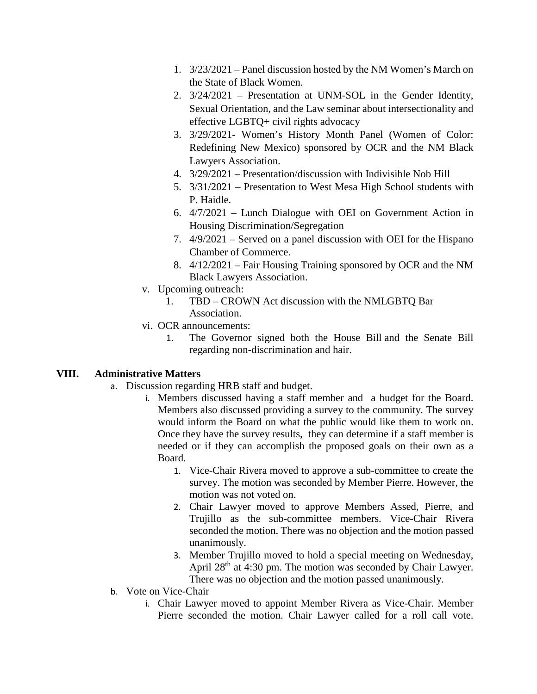- 1. 3/23/2021 Panel discussion hosted by the NM Women's March on the State of Black Women.
- 2. 3/24/2021 Presentation at UNM-SOL in the Gender Identity, Sexual Orientation, and the Law seminar about intersectionality and effective LGBTQ+ civil rights advocacy
- 3. 3/29/2021- Women's History Month Panel (Women of Color: Redefining New Mexico) sponsored by OCR and the NM Black Lawyers Association.
- 4. 3/29/2021 Presentation/discussion with Indivisible Nob Hill
- 5. 3/31/2021 Presentation to West Mesa High School students with P. Haidle.
- 6. 4/7/2021 Lunch Dialogue with OEI on Government Action in Housing Discrimination/Segregation
- 7. 4/9/2021 Served on a panel discussion with OEI for the Hispano Chamber of Commerce.
- 8. 4/12/2021 Fair Housing Training sponsored by OCR and the NM Black Lawyers Association.
- v. Upcoming outreach:
	- 1. TBD CROWN Act discussion with the NMLGBTQ Bar Association.
- vi. OCR announcements:
	- 1. The Governor signed both the House Bill and the Senate Bill regarding non-discrimination and hair.

# **VIII. Administrative Matters**

- a. Discussion regarding HRB staff and budget.
	- i. Members discussed having a staff member and a budget for the Board. Members also discussed providing a survey to the community. The survey would inform the Board on what the public would like them to work on. Once they have the survey results, they can determine if a staff member is needed or if they can accomplish the proposed goals on their own as a Board.
		- 1. Vice-Chair Rivera moved to approve a sub-committee to create the survey. The motion was seconded by Member Pierre. However, the motion was not voted on.
		- 2. Chair Lawyer moved to approve Members Assed, Pierre, and Trujillo as the sub-committee members. Vice-Chair Rivera seconded the motion. There was no objection and the motion passed unanimously.
		- 3. Member Trujillo moved to hold a special meeting on Wednesday, April 28<sup>th</sup> at 4:30 pm. The motion was seconded by Chair Lawyer. There was no objection and the motion passed unanimously.
- b. Vote on Vice-Chair
	- i. Chair Lawyer moved to appoint Member Rivera as Vice-Chair. Member Pierre seconded the motion. Chair Lawyer called for a roll call vote.